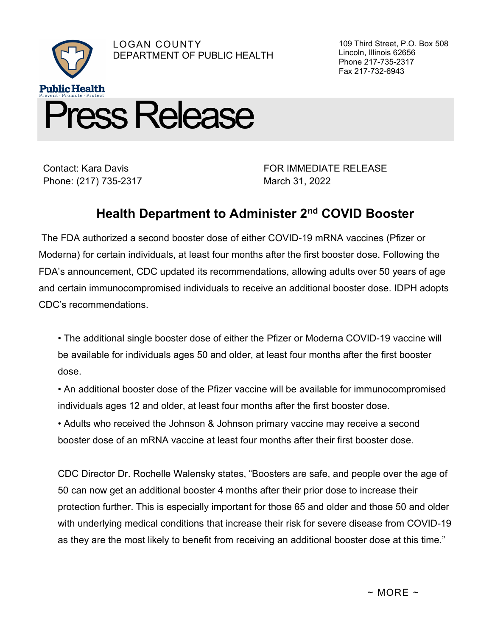

Contact: Kara Davis Phone: (217) 735-2317 FOR IMMEDIATE RELEASE March 31, 2022

109 Third Street, P.O. Box 508

Lincoln, Illinois 62656 Phone 217-735-2317 Fax 217-732-6943

## Health Department to Administer 2nd COVID Booster

 The FDA authorized a second booster dose of either COVID-19 mRNA vaccines (Pfizer or Moderna) for certain individuals, at least four months after the first booster dose. Following the FDA's announcement, CDC updated its recommendations, allowing adults over 50 years of age and certain immunocompromised individuals to receive an additional booster dose. IDPH adopts CDC's recommendations.

• The additional single booster dose of either the Pfizer or Moderna COVID-19 vaccine will be available for individuals ages 50 and older, at least four months after the first booster dose.

• An additional booster dose of the Pfizer vaccine will be available for immunocompromised individuals ages 12 and older, at least four months after the first booster dose.

• Adults who received the Johnson & Johnson primary vaccine may receive a second booster dose of an mRNA vaccine at least four months after their first booster dose.

CDC Director Dr. Rochelle Walensky states, "Boosters are safe, and people over the age of 50 can now get an additional booster 4 months after their prior dose to increase their protection further. This is especially important for those 65 and older and those 50 and older with underlying medical conditions that increase their risk for severe disease from COVID-19 as they are the most likely to benefit from receiving an additional booster dose at this time."